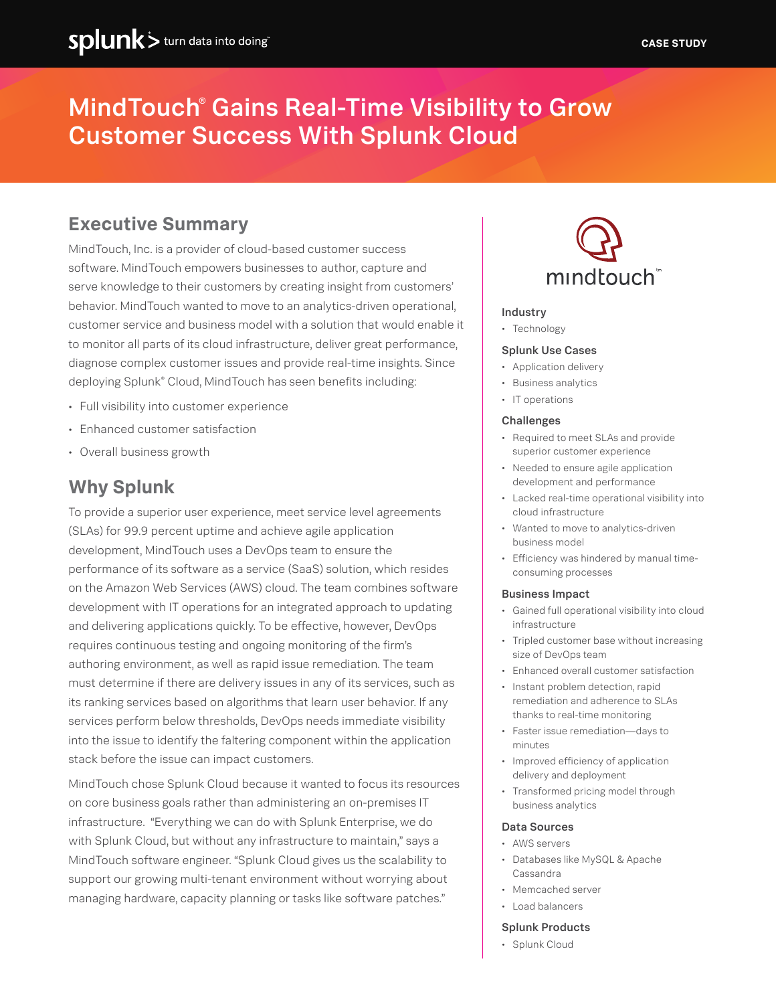# MindTouch® Gains Real-Time Visibility to Grow Customer Success With Splunk Cloud

# **Executive Summary**

MindTouch, Inc. is a provider of cloud-based customer success software. MindTouch empowers businesses to author, capture and serve knowledge to their customers by creating insight from customers' behavior. MindTouch wanted to move to an analytics-driven operational, customer service and business model with a solution that would enable it to monitor all parts of its cloud infrastructure, deliver great performance, diagnose complex customer issues and provide real-time insights. Since deploying Splunk® Cloud, MindTouch has seen benefits including:

- Full visibility into customer experience
- Enhanced customer satisfaction
- Overall business growth

## **Why Splunk**

To provide a superior user experience, meet service level agreements (SLAs) for 99.9 percent uptime and achieve agile application development, MindTouch uses a DevOps team to ensure the performance of its software as a service (SaaS) solution, which resides on the Amazon Web Services (AWS) cloud. The team combines software development with IT operations for an integrated approach to updating and delivering applications quickly. To be effective, however, DevOps requires continuous testing and ongoing monitoring of the firm's authoring environment, as well as rapid issue remediation. The team must determine if there are delivery issues in any of its services, such as its ranking services based on algorithms that learn user behavior. If any services perform below thresholds, DevOps needs immediate visibility into the issue to identify the faltering component within the application stack before the issue can impact customers.

MindTouch chose Splunk Cloud because it wanted to focus its resources on core business goals rather than administering an on-premises IT infrastructure. "Everything we can do with Splunk Enterprise, we do with Splunk Cloud, but without any infrastructure to maintain," says a MindTouch software engineer. "Splunk Cloud gives us the scalability to support our growing multi-tenant environment without worrying about managing hardware, capacity planning or tasks like software patches."



#### Industry

• Technology

#### Splunk Use Cases

- Application delivery
- Business analytics
- IT operations

#### **Challenges**

- Required to meet SLAs and provide superior customer experience
- Needed to ensure agile application development and performance
- Lacked real-time operational visibility into cloud infrastructure
- Wanted to move to analytics-driven business model
- Efficiency was hindered by manual timeconsuming processes

#### Business Impact

- Gained full operational visibility into cloud infrastructure
- Tripled customer base without increasing size of DevOps team
- Enhanced overall customer satisfaction
- Instant problem detection, rapid remediation and adherence to SLAs thanks to real-time monitoring
- Faster issue remediation-days to minutes
- Improved efficiency of application delivery and deployment
- Transformed pricing model through business analytics

#### Data Sources

- AWS servers
- Databases like MySQL & Apache Cassandra
- Memcached server
- Load balancers

#### Splunk Products

• Splunk Cloud